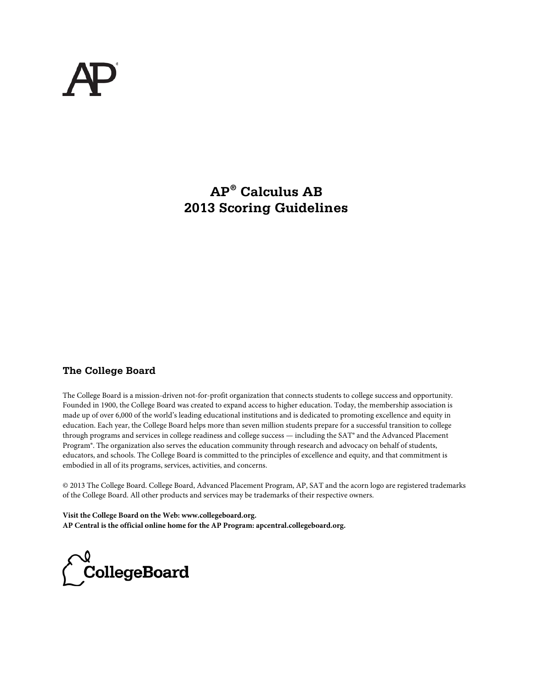# **AP® Calculus AB 2013 Scoring Guidelines**

### **The College Board**

The College Board is a mission-driven not-for-profit organization that connects students to college success and opportunity. Founded in 1900, the College Board was created to expand access to higher education. Today, the membership association is made up of over 6,000 of the world's leading educational institutions and is dedicated to promoting excellence and equity in education. Each year, the College Board helps more than seven million students prepare for a successful transition to college through programs and services in college readiness and college success — including the SAT® and the Advanced Placement Program®. The organization also serves the education community through research and advocacy on behalf of students, educators, and schools. The College Board is committed to the principles of excellence and equity, and that commitment is embodied in all of its programs, services, activities, and concerns.

© 2013 The College Board. College Board, Advanced Placement Program, AP, SAT and the acorn logo are registered trademarks of the College Board. All other products and services may be trademarks of their respective owners.

**Visit the College Board on the Web: www.collegeboard.org. AP Central is the official online home for the AP Program: apcentral.collegeboard.org.**

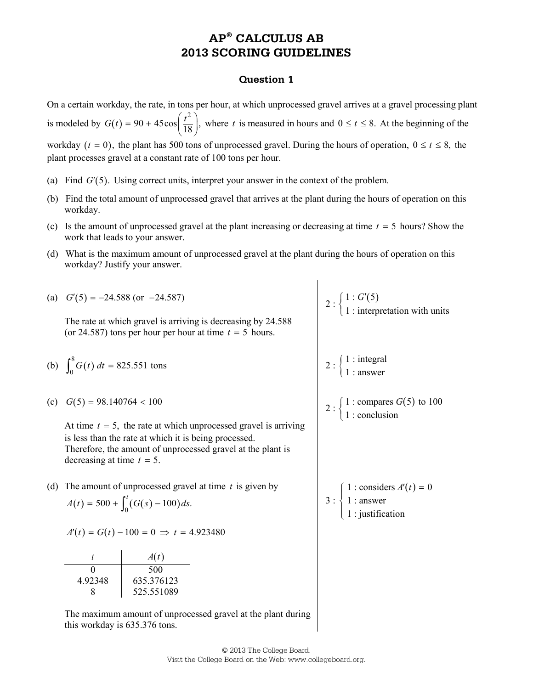#### **Question 1**

On a certain workday, the rate, in tons per hour, at which unprocessed gravel arrives at a gravel processing plant is modeled by  $G(t)$ 2  $G(t) = 90 + 45\cos\left(\frac{t^2}{18}\right)$ , where *t* is measured in hours and  $0 \le t \le 8$ . At the beginning of the workday ( $t = 0$ ), the plant has 500 tons of unprocessed gravel. During the hours of operation,  $0 \le t \le 8$ , the plant processes gravel at a constant rate of 100 tons per hour.

- (a) Find  $G'(5)$ . Using correct units, interpret your answer in the context of the problem.
- (b) Find the total amount of unprocessed gravel that arrives at the plant during the hours of operation on this workday.
- (c) Is the amount of unprocessed gravel at the plant increasing or decreasing at time *t* = 5 hours? Show the work that leads to your answer.
- (d) What is the maximum amount of unprocessed gravel at the plant during the hours of operation on this workday? Justify your answer.

|     |                                                                                               | (a) $G'(5) = -24.588$ (or $-24.587$ )                                                                                                                                                      | 2 : $\begin{cases} 1 : G'(5) \\ 1 : \text{interpretation with units} \end{cases}$                                |
|-----|-----------------------------------------------------------------------------------------------|--------------------------------------------------------------------------------------------------------------------------------------------------------------------------------------------|------------------------------------------------------------------------------------------------------------------|
|     |                                                                                               | The rate at which gravel is arriving is decreasing by 24.588<br>(or 24.587) tons per hour per hour at time $t = 5$ hours.                                                                  |                                                                                                                  |
|     | (b) $\int_0^8 G(t) dt = 825.551$ tons                                                         |                                                                                                                                                                                            | $2:\begin{cases} 1: \text{integral} \\ 1: \text{answer} \end{cases}$                                             |
| (c) | $G(5) = 98.140764 < 100$                                                                      |                                                                                                                                                                                            | 2 : $\begin{cases} 1 : \text{compares } G(5) \text{ to } 100 \\ 1 : \text{conclusion} \end{cases}$               |
|     | decreasing at time $t = 5$ .                                                                  | At time $t = 5$ , the rate at which unprocessed gravel is arriving<br>is less than the rate at which it is being processed.<br>Therefore, the amount of unprocessed gravel at the plant is |                                                                                                                  |
| (d) |                                                                                               | The amount of unprocessed gravel at time $t$ is given by                                                                                                                                   |                                                                                                                  |
|     | $A(t) = 500 + \int_0^t (G(s) - 100) ds.$                                                      |                                                                                                                                                                                            | 3 : $\begin{cases} 1 : \text{considers } A'(t) = 0 \\ 1 : \text{answer} \\ 1 : \text{justification} \end{cases}$ |
|     | $A'(t) = G(t) - 100 = 0 \implies t = 4.923480$                                                |                                                                                                                                                                                            |                                                                                                                  |
|     |                                                                                               | $\begin{array}{c c}\n t & A(t) \\ \hline\n0 & 500 \\ 4.92348 & 635.376123 \\ 8 & 525.551089\n\end{array}$                                                                                  |                                                                                                                  |
|     |                                                                                               |                                                                                                                                                                                            |                                                                                                                  |
|     |                                                                                               |                                                                                                                                                                                            |                                                                                                                  |
|     |                                                                                               | 525.551089                                                                                                                                                                                 |                                                                                                                  |
|     | The maximum amount of unprocessed gravel at the plant during<br>this workday is 635.376 tons. |                                                                                                                                                                                            |                                                                                                                  |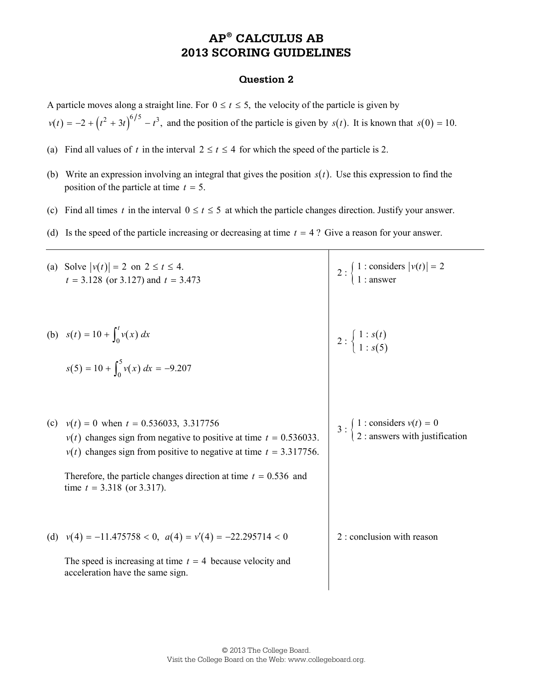### **Question 2**

A particle moves along a straight line. For  $0 \le t \le 5$ , the velocity of the particle is given by

 $v(t) = -2 + (t^2 + 3t)^{6/5} - t^3$ , and the position of the particle is given by *s*(*t*). It is known that *s*(0) = 10.

- (a) Find all values of *t* in the interval  $2 \le t \le 4$  for which the speed of the particle is 2.
- (b) Write an expression involving an integral that gives the position  $s(t)$ . Use this expression to find the position of the particle at time *t* = 5.
- (c) Find all times *t* in the interval  $0 \le t \le 5$  at which the particle changes direction. Justify your answer.
- (d) Is the speed of the particle increasing or decreasing at time *t* = 4 ? Give a reason for your answer.

| (a) Solve $ v(t)  = 2$ on $2 \le t \le 4$ .<br>$t = 3.128$ (or 3.127) and $t = 3.473$                                                                                                                                                                                                                 | 2 : $\begin{cases} 1 : \text{considers}  v(t)  = 2 \\ 1 : \text{answer} \end{cases}$                    |
|-------------------------------------------------------------------------------------------------------------------------------------------------------------------------------------------------------------------------------------------------------------------------------------------------------|---------------------------------------------------------------------------------------------------------|
| (b) $s(t) = 10 + \int_0^t v(x) dx$<br>$s(5) = 10 + \int_0^5 v(x) dx = -9.207$                                                                                                                                                                                                                         | $2:\begin{cases}1:s(t)\\1:s(5)\end{cases}$                                                              |
| (c) $v(t) = 0$ when $t = 0.536033, 3.317756$<br>$v(t)$ changes sign from negative to positive at time $t = 0.536033$ .<br>$v(t)$ changes sign from positive to negative at time $t = 3.317756$ .<br>Therefore, the particle changes direction at time $t = 0.536$ and<br>time $t = 3.318$ (or 3.317). | 3 : $\begin{cases} 1 : \text{considers } v(t) = 0 \\ 2 : \text{answers with justification} \end{cases}$ |
| (d) $v(4) = -11.475758 < 0$ , $a(4) = v'(4) = -22.295714 < 0$<br>The speed is increasing at time $t = 4$ because velocity and<br>acceleration have the same sign.                                                                                                                                     | 2 : conclusion with reason                                                                              |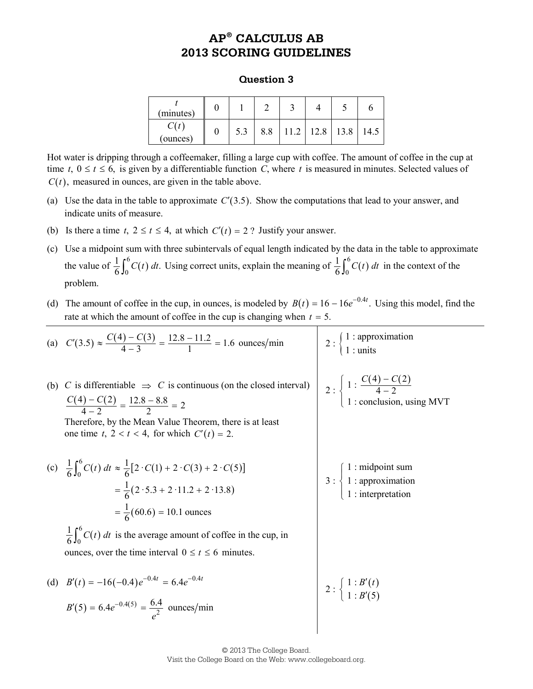#### **Question 3**

| (minutes) |     |     |               |      |  |
|-----------|-----|-----|---------------|------|--|
| (ounces)  | 5.3 | 8.8 | $11.2$   12.8 | 13.8 |  |

Hot water is dripping through a coffeemaker, filling a large cup with coffee. The amount of coffee in the cup at time  $t, 0 \le t \le 6$ , is given by a differentiable function *C*, where *t* is measured in minutes. Selected values of  $C(t)$ , measured in ounces, are given in the table above.

- (a) Use the data in the table to approximate  $C'(3.5)$ . Show the computations that lead to your answer, and indicate units of measure.
- (b) Is there a time  $t, 2 \le t \le 4$ , at which  $C'(t) = 2$ ? Justify your answer.
- (c) Use a midpoint sum with three subintervals of equal length indicated by the data in the table to approximate the value of  $\frac{1}{6} \int_0^6 C(t) dt$ . Using correct units, explain the meaning of  $\frac{1}{6} \int_0^6 C(t) dt$  $\frac{1}{6}\int_0^6 C(t) dt$  in the context of the problem.
- (d) The amount of coffee in the cup, in ounces, is modeled by  $B(t) = 16 16e^{-0.4t}$ . Using this model, find the rate at which the amount of coffee in the cup is changing when  $t = 5$ .

|     | (a) $C'(3.5) \approx \frac{C(4) - C(3)}{4 - 3} = \frac{12.8 - 11.2}{1} = 1.6$ ounces/min                                                                                                                                                   | 2 : $\begin{cases} 1 : approximation \\ 1 : units \end{cases}$                                                   |
|-----|--------------------------------------------------------------------------------------------------------------------------------------------------------------------------------------------------------------------------------------------|------------------------------------------------------------------------------------------------------------------|
| (b) | C is differentiable $\Rightarrow$ C is continuous (on the closed interval)<br>$\frac{C(4)-C(2)}{4-2}=\frac{12.8-8.8}{2}=2$<br>Therefore, by the Mean Value Theorem, there is at least<br>one time t, $2 < t < 4$ , for which $C'(t) = 2$ . | 2 : $\begin{cases} 1: \frac{C(4) - C(2)}{4 - 2} \\ 1: \text{conclusion, using MVT} \end{cases}$                  |
|     | (c) $\frac{1}{6} \int_0^6 C(t) dt \approx \frac{1}{6} [2 \cdot C(1) + 2 \cdot C(3) + 2 \cdot C(5)]$<br>$=\frac{1}{6}(2.5.3 + 2.11.2 + 2.13.8)$<br>$=\frac{1}{6}(60.6) = 10.1$ ounces                                                       | 3 : $\begin{cases} 1 : \text{midpoint sum} \\ 1 : \text{approximation} \\ 1 : \text{interpretation} \end{cases}$ |
|     | $\frac{1}{6} \int_{0}^{6} C(t) dt$ is the average amount of coffee in the cup, in<br>ounces, over the time interval $0 \le t \le 6$ minutes.                                                                                               |                                                                                                                  |
|     | (d) $B'(t) = -16(-0.4)e^{-0.4t} = 6.4e^{-0.4t}$<br>$B'(5) = 6.4e^{-0.4(5)} = \frac{6.4}{e^2}$ ounces/min                                                                                                                                   | $2: \left\{\n \begin{array}{c}\n 1: B(t) \\  1: B'(5)\n \end{array}\n\right.$                                    |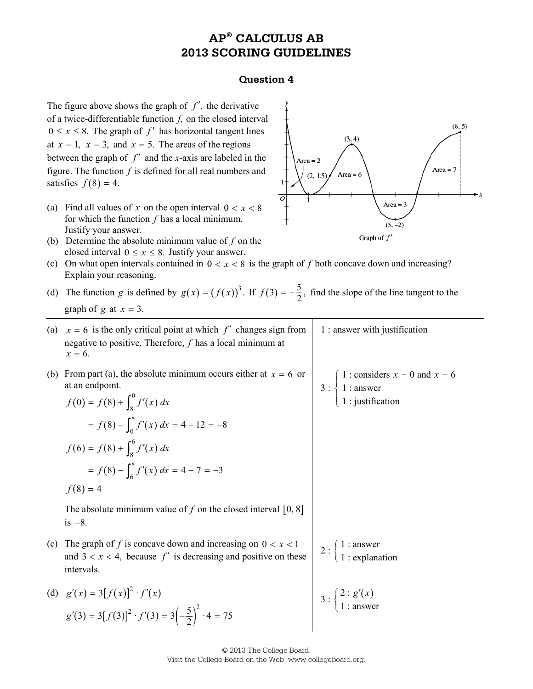#### **Question 4**

The figure above shows the graph of  $f'$ , the derivative of a twice-differentiable function *f*, on the closed interval  $0 \le x \le 8$ . The graph of *f'* has horizontal tangent lines at  $x = 1$ ,  $x = 3$ , and  $x = 5$ . The areas of the regions between the graph of *f* ′ and the *x*-axis are labeled in the figure. The function *f* is defined for all real numbers and satisfies  $f(8) = 4$ .

- (a) Find all values of *x* on the open interval  $0 < x < 8$ for which the function *f* has a local minimum. Justify your answer.
- (b) Determine the absolute minimum value of *f* on the closed interval  $0 \le x \le 8$ . Justify your answer.
- (c) On what open intervals contained in  $0 < x < 8$  is the graph of f both concave down and increasing? Explain your reasoning.
- (d) The function *g* is defined by  $g(x) = (f(x))^3$ . If  $f(3) = -\frac{5}{2}$ , find the slope of the line tangent to the graph of  $g$  at  $x = 3$ .



|     | graph of g at $x = 3$ .                                                                                                                                                                                                                                                           |                                                                                                                 |
|-----|-----------------------------------------------------------------------------------------------------------------------------------------------------------------------------------------------------------------------------------------------------------------------------------|-----------------------------------------------------------------------------------------------------------------|
| (a) | $x = 6$ is the only critical point at which f' changes sign from<br>negative to positive. Therefore, $f$ has a local minimum at<br>$x = 6$ .                                                                                                                                      | 1 : answer with justification                                                                                   |
| (b) | From part (a), the absolute minimum occurs either at $x = 6$ or<br>at an endpoint.<br>$f(0) = f(8) + \int_{8}^{0} f'(x) dx$<br>$= f(8) - \int_0^8 f'(x) dx = 4 - 12 = -8$<br>$f(6) = f(8) + \int_{8}^{6} f'(x) dx$<br>$= f(8) - \int_{6}^{8} f'(x) dx = 4 - 7 = -3$<br>$f(8) = 4$ | 1 : considers $x = 0$ and $x = 6$<br>$3: \begin{cases} 1: \text{answer} \\ 1: \text{justification} \end{cases}$ |
|     | The absolute minimum value of f on the closed interval $[0, 8]$<br>is $-8$ .                                                                                                                                                                                                      |                                                                                                                 |
| (c) | The graph of f is concave down and increasing on $0 < x < 1$<br>and $3 < x < 4$ , because f' is decreasing and positive on these<br>intervals.                                                                                                                                    | 2 : $\begin{cases} 1 : \text{answer} \\ 1 : \text{explanation} \end{cases}$                                     |
|     | (d) $g'(x) = 3[f(x)]^2 \cdot f'(x)$<br>$g'(3) = 3[f(3)]^2 \cdot f'(3) = 3\left(-\frac{5}{2}\right)^2 \cdot 4 = 75$                                                                                                                                                                | $3:\begin{cases} 2:g'(x) \\ 1-\text{answer} \end{cases}$                                                        |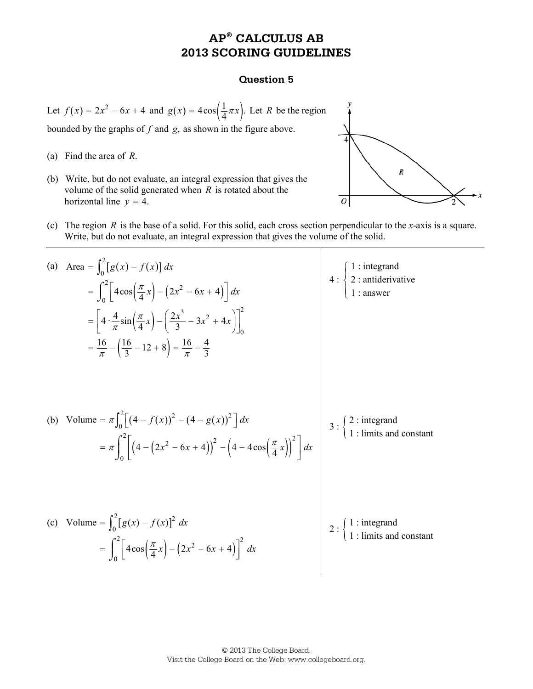#### **Question 5**

Let  $f(x) = 2x^2 - 6x + 4$  and  $g(x) = 4\cos\left(\frac{1}{4}\pi x\right)$ . Let *R* be the region

bounded by the graphs of *f* and *g*, as shown in the figure above.

- (a) Find the area of *R*.
- (b) Write, but do not evaluate, an integral expression that gives the volume of the solid generated when *R* is rotated about the horizontal line  $y = 4$ .



(c) The region *R* is the base of a solid. For this solid, each cross section perpendicular to the *x*-axis is a square. Write, but do not evaluate, an integral expression that gives the volume of the solid.

(a) Area 
$$
=\int_{0}^{2} [g(x) - f(x)] dx
$$
  
\n $=\int_{0}^{2} [4\cos(\frac{\pi}{4}x) - (2x^{2} - 6x + 4)] dx$   
\n $= [4 \cdot \frac{4}{\pi} \sin(\frac{\pi}{4}x) - (2\frac{2x^{3}}{3} - 3x^{2} + 4x)]_{0}^{2}$   
\n $= \frac{16}{\pi} - (\frac{16}{3} - 12 + 8) = \frac{16}{\pi} - \frac{4}{3}$   
\n(b) Volume  $= \pi \int_{0}^{2} [(4 - f(x))^{2} - (4 - g(x))^{2}] dx$   
\n $= \pi \int_{0}^{2} [(4 - (2x^{2} - 6x + 4))^{2} - (4 - 4\cos(\frac{\pi}{4}x))^{2}] dx$   
\n(c) Volume  $= \int_{0}^{2} [g(x) - f(x)]^{2} dx$   
\n $= \int_{0}^{2} [4\cos(\frac{\pi}{4}x) - (2x^{2} - 6x + 4)]^{2} dx$   
\n $= \int_{0}^{2} [4\cos(\frac{\pi}{4}x) - (2x^{2} - 6x + 4)]^{2} dx$   
\n $= \int_{0}^{2} [4\cos(\frac{\pi}{4}x) - (2x^{2} - 6x + 4)]^{2} dx$